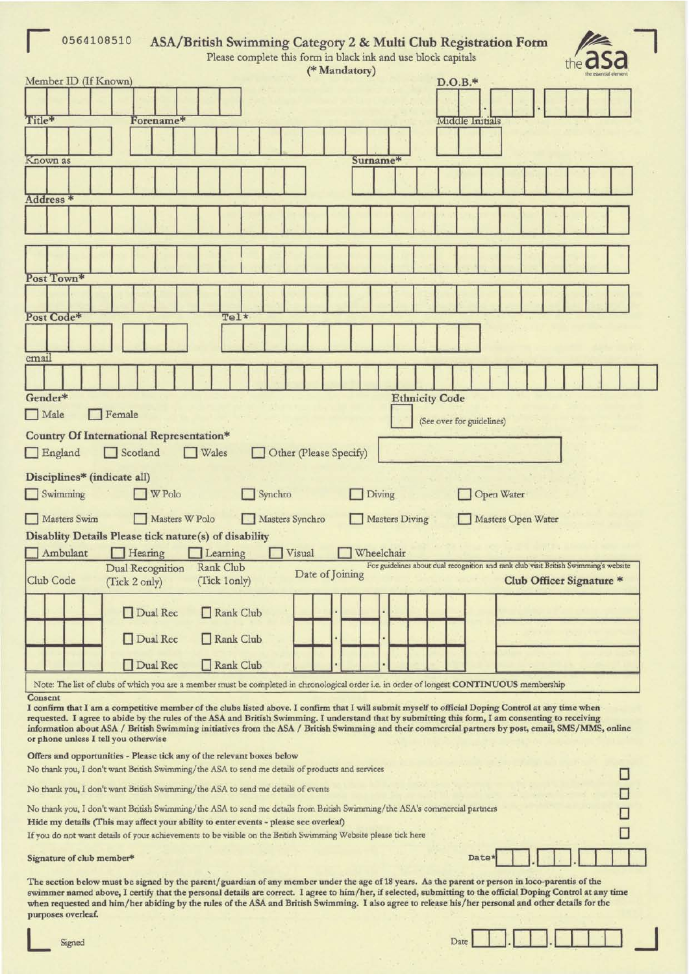| 0564108510<br>ASA/British Swimming Category 2 & Multi Club Registration Form<br>Please complete this form in black ink and use block capitals                                                                                                                                                                                                                                                                                                                                                                     |                                                                                                                  |  |  |  |  |  |
|-------------------------------------------------------------------------------------------------------------------------------------------------------------------------------------------------------------------------------------------------------------------------------------------------------------------------------------------------------------------------------------------------------------------------------------------------------------------------------------------------------------------|------------------------------------------------------------------------------------------------------------------|--|--|--|--|--|
| (* Mandatory)<br>Member ID (If Known)                                                                                                                                                                                                                                                                                                                                                                                                                                                                             | $D.O.B.*$                                                                                                        |  |  |  |  |  |
|                                                                                                                                                                                                                                                                                                                                                                                                                                                                                                                   |                                                                                                                  |  |  |  |  |  |
| Title*<br>Forename*                                                                                                                                                                                                                                                                                                                                                                                                                                                                                               | Middle Initials                                                                                                  |  |  |  |  |  |
|                                                                                                                                                                                                                                                                                                                                                                                                                                                                                                                   |                                                                                                                  |  |  |  |  |  |
| Known as<br>Surname*                                                                                                                                                                                                                                                                                                                                                                                                                                                                                              |                                                                                                                  |  |  |  |  |  |
|                                                                                                                                                                                                                                                                                                                                                                                                                                                                                                                   |                                                                                                                  |  |  |  |  |  |
|                                                                                                                                                                                                                                                                                                                                                                                                                                                                                                                   |                                                                                                                  |  |  |  |  |  |
| Address *                                                                                                                                                                                                                                                                                                                                                                                                                                                                                                         |                                                                                                                  |  |  |  |  |  |
|                                                                                                                                                                                                                                                                                                                                                                                                                                                                                                                   |                                                                                                                  |  |  |  |  |  |
|                                                                                                                                                                                                                                                                                                                                                                                                                                                                                                                   |                                                                                                                  |  |  |  |  |  |
| Post Town*                                                                                                                                                                                                                                                                                                                                                                                                                                                                                                        |                                                                                                                  |  |  |  |  |  |
|                                                                                                                                                                                                                                                                                                                                                                                                                                                                                                                   |                                                                                                                  |  |  |  |  |  |
| Post Code*<br>Tel*                                                                                                                                                                                                                                                                                                                                                                                                                                                                                                |                                                                                                                  |  |  |  |  |  |
|                                                                                                                                                                                                                                                                                                                                                                                                                                                                                                                   |                                                                                                                  |  |  |  |  |  |
| email                                                                                                                                                                                                                                                                                                                                                                                                                                                                                                             |                                                                                                                  |  |  |  |  |  |
|                                                                                                                                                                                                                                                                                                                                                                                                                                                                                                                   |                                                                                                                  |  |  |  |  |  |
| Gender*                                                                                                                                                                                                                                                                                                                                                                                                                                                                                                           | <b>Ethnicity Code</b>                                                                                            |  |  |  |  |  |
| $\Box$ Male<br>Female                                                                                                                                                                                                                                                                                                                                                                                                                                                                                             |                                                                                                                  |  |  |  |  |  |
| Country Of International Representation*                                                                                                                                                                                                                                                                                                                                                                                                                                                                          | (See over for guidelines)                                                                                        |  |  |  |  |  |
| Scotland<br>England<br>Other (Please Specify)<br><b>Wales</b>                                                                                                                                                                                                                                                                                                                                                                                                                                                     |                                                                                                                  |  |  |  |  |  |
| Disciplines* (indicate all)<br>$\Box$ Swimming<br>W Polo<br>Synchro<br>Diving                                                                                                                                                                                                                                                                                                                                                                                                                                     | Open Water                                                                                                       |  |  |  |  |  |
| Masters W Polo<br>Masters Swim<br>Masters Synchro                                                                                                                                                                                                                                                                                                                                                                                                                                                                 | <b>Masters Diving</b><br>Masters Open Water                                                                      |  |  |  |  |  |
| Disablity Details Please tick nature(s) of disability                                                                                                                                                                                                                                                                                                                                                                                                                                                             |                                                                                                                  |  |  |  |  |  |
| Ambulant<br>Hearing<br>Visual<br>Wheelchair<br>Learning                                                                                                                                                                                                                                                                                                                                                                                                                                                           |                                                                                                                  |  |  |  |  |  |
| Rank Club<br>Dual Recognition<br>Date of Joining<br>Club Code<br>(Tick 1only)<br>(Tick 2 only)                                                                                                                                                                                                                                                                                                                                                                                                                    | For guidelines about dual recognition and rank club visit British Swimming's website<br>Club Officer Signature * |  |  |  |  |  |
| Dual Rec<br>Rank Club                                                                                                                                                                                                                                                                                                                                                                                                                                                                                             |                                                                                                                  |  |  |  |  |  |
| Dual Rec<br>Rank Club                                                                                                                                                                                                                                                                                                                                                                                                                                                                                             |                                                                                                                  |  |  |  |  |  |
| Dual Rec<br>Rank Club                                                                                                                                                                                                                                                                                                                                                                                                                                                                                             |                                                                                                                  |  |  |  |  |  |
| Note: The list of clubs of which you are a member must be completed in chronological order i.e. in order of longest CONTINUOUS membership                                                                                                                                                                                                                                                                                                                                                                         |                                                                                                                  |  |  |  |  |  |
| Consent<br>I confirm that I am a competitive member of the clubs listed above. I confirm that I will submit myself to official Doping Control at any time when<br>requested. I agree to abide by the rules of the ASA and British Swimming. I understand that by submitting this form, I am consenting to receiving<br>information about ASA / British Swimming initiatives from the ASA / British Swimming and their commercial partners by post, email, SMS/MMS, online<br>or phone unless I tell you otherwise |                                                                                                                  |  |  |  |  |  |
| Offers and opportunities - Please tick any of the relevant boxes below<br>No thank you, I don't want British Swimming/the ASA to send me details of products and services                                                                                                                                                                                                                                                                                                                                         |                                                                                                                  |  |  |  |  |  |
| No thank you, I don't want British Swimming/the ASA to send me details of events                                                                                                                                                                                                                                                                                                                                                                                                                                  |                                                                                                                  |  |  |  |  |  |
|                                                                                                                                                                                                                                                                                                                                                                                                                                                                                                                   |                                                                                                                  |  |  |  |  |  |
| No thank you, I don't want British Swimming/the ASA to send me details from British Swimming/the ASA's commercial partners<br>Hide my details (This may affect your ability to enter events - please see overleaf)                                                                                                                                                                                                                                                                                                |                                                                                                                  |  |  |  |  |  |
| If you do not want details of your achievements to be visible on the British Swimming Website please tick here                                                                                                                                                                                                                                                                                                                                                                                                    |                                                                                                                  |  |  |  |  |  |
| Signature of club member*                                                                                                                                                                                                                                                                                                                                                                                                                                                                                         | Date*                                                                                                            |  |  |  |  |  |
| The section below must be signed by the parent/guardian of any member under the age of 18 years. As the parent or person in loco-parentis of the<br>are correct. I gove to him ther if extented outputting to the official Doning Control at any time<br>namnual desails                                                                                                                                                                                                                                          |                                                                                                                  |  |  |  |  |  |

swimmer named above, I certify that the personal details are correct. I agree to him/her, if selected, submitting to the official Doping Control at any time when requested and him/her abiding by the rules of the ASA and Br purposes overleaf.

| Date |
|------|
|------|